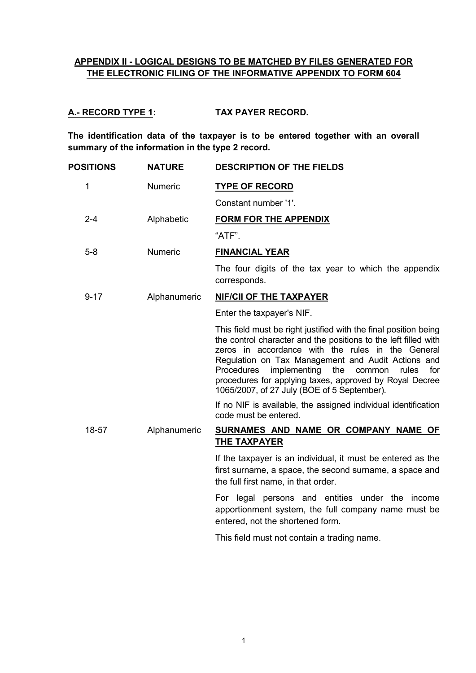# **APPENDIX II - LOGICAL DESIGNS TO BE MATCHED BY FILES GENERATED FOR THE ELECTRONIC FILING OF THE INFORMATIVE APPENDIX TO FORM 604**

# **A.- RECORD TYPE 1: TAX PAYER RECORD.**

**The identification data of the taxpayer is to be entered together with an overall summary of the information in the type 2 record.**

| <b>POSITIONS</b> | <b>NATURE</b> | <b>DESCRIPTION OF THE FIELDS</b>                                                                                                                                                                                                                                                                                                                                                                                  |
|------------------|---------------|-------------------------------------------------------------------------------------------------------------------------------------------------------------------------------------------------------------------------------------------------------------------------------------------------------------------------------------------------------------------------------------------------------------------|
| 1                | Numeric       | <b>TYPE OF RECORD</b>                                                                                                                                                                                                                                                                                                                                                                                             |
|                  |               | Constant number '1'.                                                                                                                                                                                                                                                                                                                                                                                              |
| $2 - 4$          | Alphabetic    | <b>FORM FOR THE APPENDIX</b>                                                                                                                                                                                                                                                                                                                                                                                      |
|                  |               | "ATF".                                                                                                                                                                                                                                                                                                                                                                                                            |
| $5 - 8$          | Numeric       | <b>FINANCIAL YEAR</b>                                                                                                                                                                                                                                                                                                                                                                                             |
|                  |               | The four digits of the tax year to which the appendix<br>corresponds.                                                                                                                                                                                                                                                                                                                                             |
| $9 - 17$         | Alphanumeric  | <b>NIF/CII OF THE TAXPAYER</b>                                                                                                                                                                                                                                                                                                                                                                                    |
|                  |               | Enter the taxpayer's NIF.                                                                                                                                                                                                                                                                                                                                                                                         |
|                  |               | This field must be right justified with the final position being<br>the control character and the positions to the left filled with<br>zeros in accordance with the rules in the General<br>Regulation on Tax Management and Audit Actions and<br>Procedures<br>implementing the<br>for<br>common rules<br>procedures for applying taxes, approved by Royal Decree<br>1065/2007, of 27 July (BOE of 5 September). |
|                  |               | If no NIF is available, the assigned individual identification<br>code must be entered.                                                                                                                                                                                                                                                                                                                           |
| 18-57            | Alphanumeric  | SURNAMES AND NAME OR COMPANY NAME OF<br><b>THE TAXPAYER</b>                                                                                                                                                                                                                                                                                                                                                       |
|                  |               | If the taxpayer is an individual, it must be entered as the<br>first surname, a space, the second surname, a space and<br>the full first name, in that order.                                                                                                                                                                                                                                                     |
|                  |               | For legal persons and entities under the income<br>apportionment system, the full company name must be<br>entered, not the shortened form.                                                                                                                                                                                                                                                                        |
|                  |               | This field must not contain a trading name.                                                                                                                                                                                                                                                                                                                                                                       |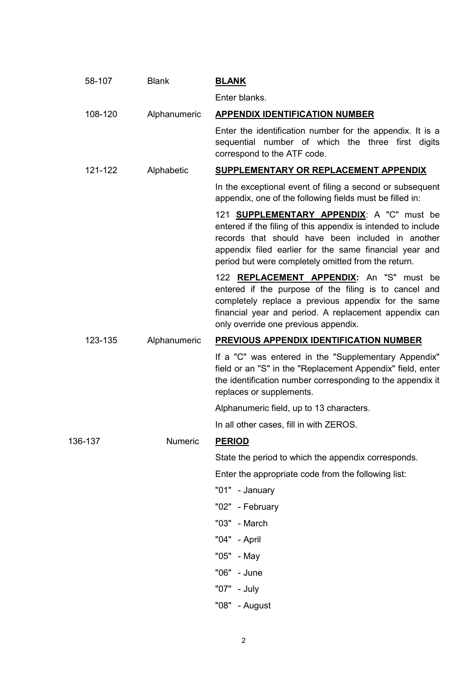|         | 58-107  | <b>Blank</b> | <b>BLANK</b>                                                                                                                                                                                                                                                                             |
|---------|---------|--------------|------------------------------------------------------------------------------------------------------------------------------------------------------------------------------------------------------------------------------------------------------------------------------------------|
|         |         |              | Enter blanks.                                                                                                                                                                                                                                                                            |
|         | 108-120 | Alphanumeric | <b>APPENDIX IDENTIFICATION NUMBER</b>                                                                                                                                                                                                                                                    |
|         |         |              | Enter the identification number for the appendix. It is a<br>sequential number of which the three first digits<br>correspond to the ATF code.                                                                                                                                            |
|         | 121-122 | Alphabetic   | <b>SUPPLEMENTARY OR REPLACEMENT APPENDIX</b>                                                                                                                                                                                                                                             |
|         |         |              | In the exceptional event of filing a second or subsequent<br>appendix, one of the following fields must be filled in:                                                                                                                                                                    |
|         |         |              | 121 <b>SUPPLEMENTARY APPENDIX</b> : A "C" must be<br>entered if the filing of this appendix is intended to include<br>records that should have been included in another<br>appendix filed earlier for the same financial year and<br>period but were completely omitted from the return. |
|         |         |              | 122 REPLACEMENT APPENDIX: An "S" must be<br>entered if the purpose of the filing is to cancel and<br>completely replace a previous appendix for the same<br>financial year and period. A replacement appendix can<br>only override one previous appendix.                                |
|         | 123-135 | Alphanumeric | <b>PREVIOUS APPENDIX IDENTIFICATION NUMBER</b>                                                                                                                                                                                                                                           |
|         |         |              | If a "C" was entered in the "Supplementary Appendix"<br>field or an "S" in the "Replacement Appendix" field, enter<br>the identification number corresponding to the appendix it<br>replaces or supplements.                                                                             |
|         |         |              | Alphanumeric field, up to 13 characters.                                                                                                                                                                                                                                                 |
|         |         |              | In all other cases, fill in with ZEROS.                                                                                                                                                                                                                                                  |
| 136-137 |         | Numeric      | <b>PERIOD</b>                                                                                                                                                                                                                                                                            |
|         |         |              | State the period to which the appendix corresponds.                                                                                                                                                                                                                                      |
|         |         |              | Enter the appropriate code from the following list:                                                                                                                                                                                                                                      |
|         |         |              | "01" - January                                                                                                                                                                                                                                                                           |
|         |         |              | "02" - February                                                                                                                                                                                                                                                                          |
|         |         |              | "03" - March                                                                                                                                                                                                                                                                             |
|         |         |              | "04" - April                                                                                                                                                                                                                                                                             |
|         |         |              | "05" - May                                                                                                                                                                                                                                                                               |
|         |         |              | "06" - June                                                                                                                                                                                                                                                                              |
|         |         |              | "07" - July                                                                                                                                                                                                                                                                              |
|         |         |              | "08" - August                                                                                                                                                                                                                                                                            |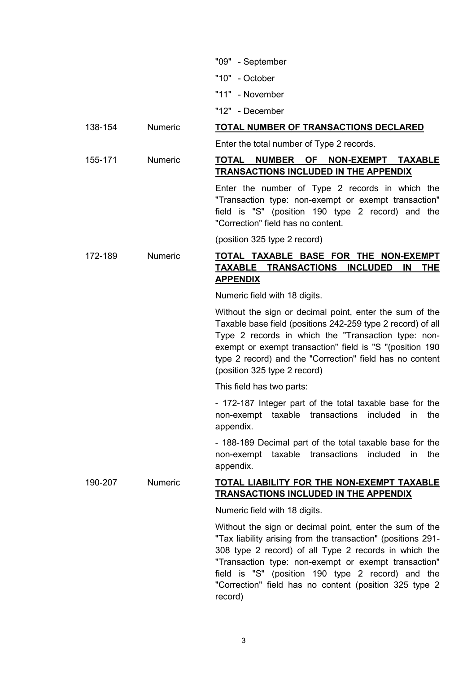| "09" | - September |
|------|-------------|
|------|-------------|

- "10" October
- "11" November
- "12" December

# 138-154 Numeric **TOTAL NUMBER OF TRANSACTIONS DECLARED**

Enter the total number of Type 2 records.

# 155-171 Numeric **TOTAL NUMBER OF NON-EXEMPT TAXABLE TRANSACTIONS INCLUDED IN THE APPENDIX**

Enter the number of Type 2 records in which the "Transaction type: non-exempt or exempt transaction" field is "S" (position 190 type 2 record) and the "Correction" field has no content.

(position 325 type 2 record)

# 172-189 Numeric **TOTAL TAXABLE BASE FOR THE NON-EXEMPT TAXABLE TRANSACTIONS INCLUDED IN THE APPENDIX**

Numeric field with 18 digits.

Without the sign or decimal point, enter the sum of the Taxable base field (positions 242-259 type 2 record) of all Type 2 records in which the "Transaction type: nonexempt or exempt transaction" field is "S "(position 190 type 2 record) and the "Correction" field has no content (position 325 type 2 record)

This field has two parts:

- 172-187 Integer part of the total taxable base for the non-exempt taxable transactions included in the appendix.

- 188-189 Decimal part of the total taxable base for the non-exempt taxable transactions included in the appendix.

## 190-207 Numeric **TOTAL LIABILITY FOR THE NON-EXEMPT TAXABLE TRANSACTIONS INCLUDED IN THE APPENDIX**

Numeric field with 18 digits.

Without the sign or decimal point, enter the sum of the "Tax liability arising from the transaction" (positions 291- 308 type 2 record) of all Type 2 records in which the "Transaction type: non-exempt or exempt transaction" field is "S" (position 190 type 2 record) and the "Correction" field has no content (position 325 type 2 record)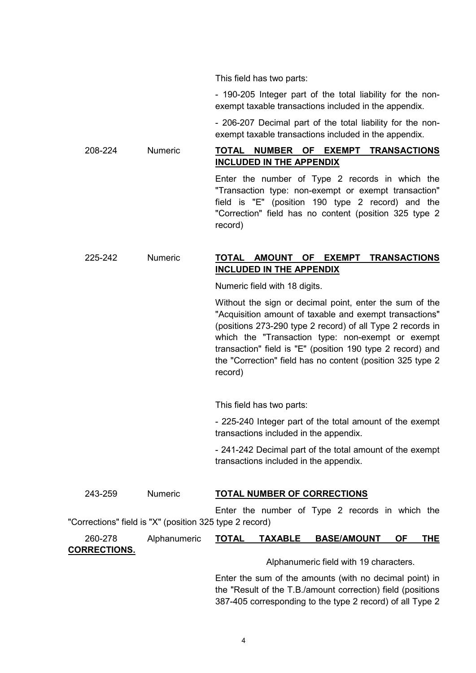This field has two parts:

- 190-205 Integer part of the total liability for the nonexempt taxable transactions included in the appendix.

- 206-207 Decimal part of the total liability for the nonexempt taxable transactions included in the appendix.

# 208-224 Numeric **TOTAL NUMBER OF EXEMPT TRANSACTIONS INCLUDED IN THE APPENDIX**

Enter the number of Type 2 records in which the "Transaction type: non-exempt or exempt transaction" field is "E" (position 190 type 2 record) and the "Correction" field has no content (position 325 type 2 record)

# 225-242 Numeric **TOTAL AMOUNT OF EXEMPT TRANSACTIONS INCLUDED IN THE APPENDIX**

Numeric field with 18 digits.

Without the sign or decimal point, enter the sum of the "Acquisition amount of taxable and exempt transactions" (positions 273-290 type 2 record) of all Type 2 records in which the "Transaction type: non-exempt or exempt transaction" field is "E" (position 190 type 2 record) and the "Correction" field has no content (position 325 type 2 record)

This field has two parts:

- 225-240 Integer part of the total amount of the exempt transactions included in the appendix.

- 241-242 Decimal part of the total amount of the exempt transactions included in the appendix.

387-405 corresponding to the type 2 record) of all Type 2

| 243-259             | <b>Numeric</b>                                          | <b>TOTAL NUMBER OF CORRECTIONS</b> |                                                             |  |            |
|---------------------|---------------------------------------------------------|------------------------------------|-------------------------------------------------------------|--|------------|
|                     |                                                         |                                    | Enter the number of Type 2 records in which the             |  |            |
|                     | "Corrections" field is "X" (position 325 type 2 record) |                                    |                                                             |  |            |
| 260-278             | Alphanumeric                                            |                                    | TOTAL TAXABLE BASE/AMOUNT OF                                |  | <b>THE</b> |
| <b>CORRECTIONS.</b> |                                                         |                                    |                                                             |  |            |
|                     |                                                         |                                    | Alphanumeric field with 19 characters.                      |  |            |
|                     |                                                         |                                    | Enter the sum of the amounts (with no decimal point) in     |  |            |
|                     |                                                         |                                    | the "Result of the T.B./amount correction) field (positions |  |            |

4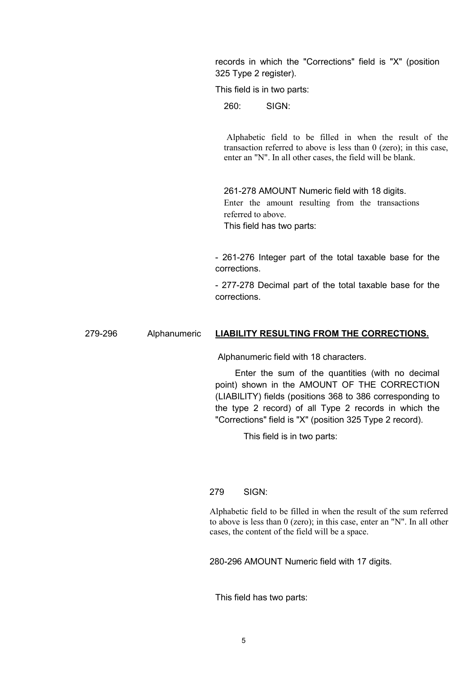records in which the "Corrections" field is "X" (position 325 Type 2 register).

This field is in two parts:

260: SIGN:

Alphabetic field to be filled in when the result of the transaction referred to above is less than 0 (zero); in this case, enter an "N". In all other cases, the field will be blank.

261-278 AMOUNT Numeric field with 18 digits. Enter the amount resulting from the transactions referred to above. This field has two parts:

- 261-276 Integer part of the total taxable base for the corrections.

- 277-278 Decimal part of the total taxable base for the corrections.

## 279-296 Alphanumeric **LIABILITY RESULTING FROM THE CORRECTIONS.**

Alphanumeric field with 18 characters.

 Enter the sum of the quantities (with no decimal point) shown in the AMOUNT OF THE CORRECTION (LIABILITY) fields (positions 368 to 386 corresponding to the type 2 record) of all Type 2 records in which the "Corrections" field is "X" (position 325 Type 2 record).

This field is in two parts:

## 279 SIGN:

Alphabetic field to be filled in when the result of the sum referred to above is less than 0 (zero); in this case, enter an "N". In all other cases, the content of the field will be a space.

280-296 AMOUNT Numeric field with 17 digits.

This field has two parts: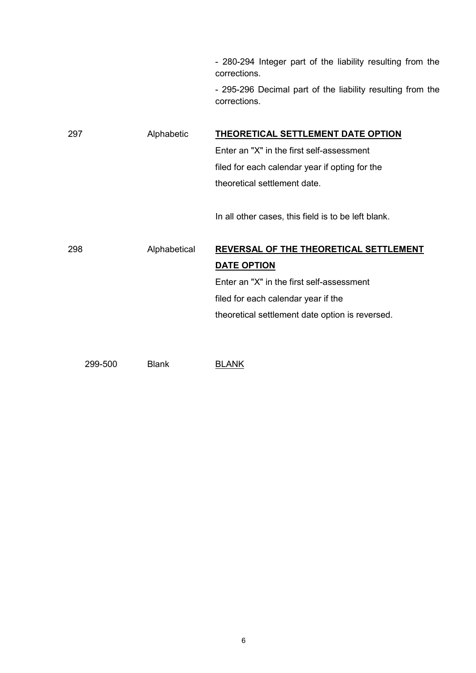- 280-294 Integer part of the liability resulting from the corrections.

- 295-296 Decimal part of the liability resulting from the corrections.

297 Alphabetic **THEORETICAL SETTLEMENT DATE OPTION** Enter an "X" in the first self-assessment filed for each calendar year if opting for the theoretical settlement date. In all other cases, this field is to be left blank. 298 Alphabetical **REVERSAL OF THE THEORETICAL SETTLEMENT DATE OPTION** Enter an "X" in the first self-assessment filed for each calendar year if the theoretical settlement date option is reversed.

299-500 Blank BLANK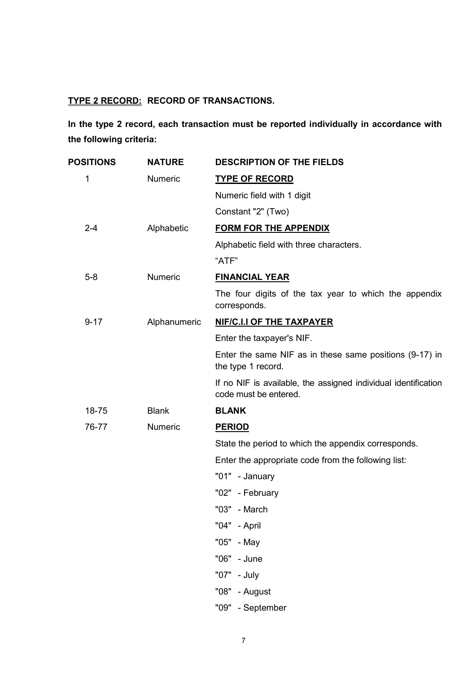# **TYPE 2 RECORD: RECORD OF TRANSACTIONS.**

**In the type 2 record, each transaction must be reported individually in accordance with the following criteria:**

| <b>POSITIONS</b> | <b>NATURE</b> | <b>DESCRIPTION OF THE FIELDS</b>                                                        |
|------------------|---------------|-----------------------------------------------------------------------------------------|
| 1                | Numeric       | <b>TYPE OF RECORD</b>                                                                   |
|                  |               | Numeric field with 1 digit                                                              |
|                  |               | Constant "2" (Two)                                                                      |
| $2 - 4$          | Alphabetic    | <b>FORM FOR THE APPENDIX</b>                                                            |
|                  |               | Alphabetic field with three characters.                                                 |
|                  |               | "ATF"                                                                                   |
| $5-8$            | Numeric       | <b>FINANCIAL YEAR</b>                                                                   |
|                  |               | The four digits of the tax year to which the appendix<br>corresponds.                   |
| $9 - 17$         | Alphanumeric  | NIF/C.I.I OF THE TAXPAYER                                                               |
|                  |               | Enter the taxpayer's NIF.                                                               |
|                  |               | Enter the same NIF as in these same positions (9-17) in<br>the type 1 record.           |
|                  |               | If no NIF is available, the assigned individual identification<br>code must be entered. |
| 18-75            | <b>Blank</b>  | <b>BLANK</b>                                                                            |
| 76-77            | Numeric       | <b>PERIOD</b>                                                                           |
|                  |               | State the period to which the appendix corresponds.                                     |
|                  |               | Enter the appropriate code from the following list:                                     |
|                  |               | "01" - January                                                                          |
|                  |               | "02" - February                                                                         |
|                  |               | "03" - March                                                                            |
|                  |               | "04" - April                                                                            |
|                  |               | "05" - May                                                                              |
|                  |               | "06" - June                                                                             |
|                  |               | "07" - July                                                                             |
|                  |               | "08" - August                                                                           |
|                  |               | "09" - September                                                                        |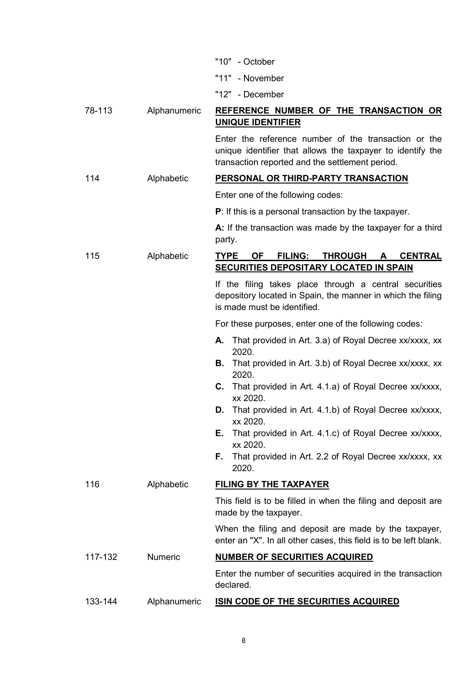|         |              | "10"<br>- October                                                                                                                                                     |
|---------|--------------|-----------------------------------------------------------------------------------------------------------------------------------------------------------------------|
|         |              | "11" - November                                                                                                                                                       |
|         |              | "12" - December                                                                                                                                                       |
| 78-113  | Alphanumeric | REFERENCE NUMBER OF THE TRANSACTION OR<br><b>UNIQUE IDENTIFIER</b>                                                                                                    |
|         |              | Enter the reference number of the transaction or the<br>unique identifier that allows the taxpayer to identify the<br>transaction reported and the settlement period. |
| 114     | Alphabetic   | PERSONAL OR THIRD-PARTY TRANSACTION                                                                                                                                   |
|         |              | Enter one of the following codes:                                                                                                                                     |
|         |              | $P$ : If this is a personal transaction by the taxpayer.                                                                                                              |
|         |              | A: If the transaction was made by the taxpayer for a third<br>party.                                                                                                  |
| 115     | Alphabetic   | <b>TYPE</b><br><b>OF</b><br><b>FILING:</b><br><b>THROUGH</b><br><b>CENTRAL</b><br>A<br><b>SECURITIES DEPOSITARY LOCATED IN SPAIN</b>                                  |
|         |              | If the filing takes place through a central securities<br>depository located in Spain, the manner in which the filing<br>is made must be identified.                  |
|         |              | For these purposes, enter one of the following codes:                                                                                                                 |
|         |              | That provided in Art. 3.a) of Royal Decree xx/xxxx, xx<br>А.<br>2020.                                                                                                 |
|         |              | That provided in Art. 3.b) of Royal Decree xx/xxxx, xx<br>В.<br>2020.                                                                                                 |
|         |              | С.<br>That provided in Art. 4.1.a) of Royal Decree xx/xxxx,<br>xx 2020.                                                                                               |
|         |              | That provided in Art. 4.1.b) of Royal Decree xx/xxxx,<br>xx 2020.                                                                                                     |
|         |              | That provided in Art. 4.1.c) of Royal Decree xx/xxxx,<br>Е.<br>xx 2020.                                                                                               |
|         |              | That provided in Art. 2.2 of Royal Decree xx/xxxx, xx<br>F.<br>2020.                                                                                                  |
| 116     | Alphabetic   | <b>FILING BY THE TAXPAYER</b>                                                                                                                                         |
|         |              | This field is to be filled in when the filing and deposit are<br>made by the taxpayer.                                                                                |
|         |              | When the filing and deposit are made by the taxpayer,<br>enter an "X". In all other cases, this field is to be left blank.                                            |
| 117-132 | Numeric      | <b>NUMBER OF SECURITIES ACQUIRED</b>                                                                                                                                  |
|         |              | Enter the number of securities acquired in the transaction<br>declared.                                                                                               |
| 133-144 | Alphanumeric | <b>ISIN CODE OF THE SECURITIES ACQUIRED</b>                                                                                                                           |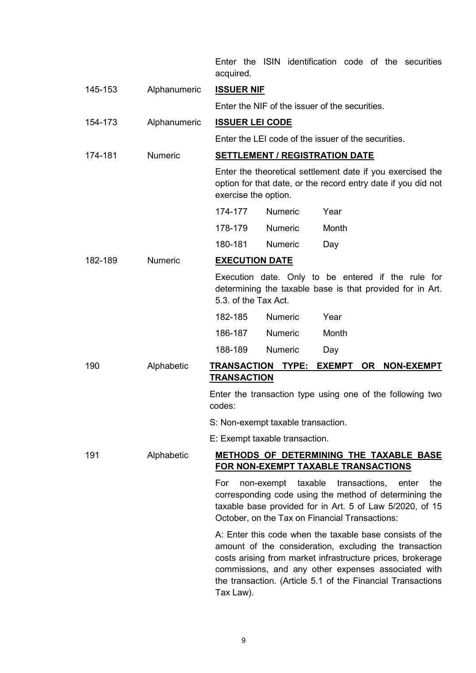Enter the ISIN identification code of the securities acquired.

| 145-153 | Alphanumeric   | <b>ISSUER NIF</b>                                                                                                                                                                                                                                                                                                   |  |  |
|---------|----------------|---------------------------------------------------------------------------------------------------------------------------------------------------------------------------------------------------------------------------------------------------------------------------------------------------------------------|--|--|
|         |                | Enter the NIF of the issuer of the securities.                                                                                                                                                                                                                                                                      |  |  |
| 154-173 | Alphanumeric   | <b>ISSUER LEI CODE</b>                                                                                                                                                                                                                                                                                              |  |  |
|         |                | Enter the LEI code of the issuer of the securities.                                                                                                                                                                                                                                                                 |  |  |
| 174-181 | <b>Numeric</b> | <b>SETTLEMENT / REGISTRATION DATE</b>                                                                                                                                                                                                                                                                               |  |  |
|         |                | Enter the theoretical settlement date if you exercised the<br>option for that date, or the record entry date if you did not<br>exercise the option.                                                                                                                                                                 |  |  |
|         |                | 174-177<br><b>Numeric</b><br>Year                                                                                                                                                                                                                                                                                   |  |  |
|         |                | 178-179<br><b>Numeric</b><br>Month                                                                                                                                                                                                                                                                                  |  |  |
|         |                | 180-181<br><b>Numeric</b><br>Day                                                                                                                                                                                                                                                                                    |  |  |
| 182-189 | <b>Numeric</b> | <b>EXECUTION DATE</b>                                                                                                                                                                                                                                                                                               |  |  |
|         |                | Execution date. Only to be entered if the rule for<br>determining the taxable base is that provided for in Art.<br>5.3. of the Tax Act.                                                                                                                                                                             |  |  |
|         |                | 182-185<br><b>Numeric</b><br>Year                                                                                                                                                                                                                                                                                   |  |  |
|         |                | 186-187<br><b>Numeric</b><br>Month                                                                                                                                                                                                                                                                                  |  |  |
|         |                | 188-189<br>Numeric<br>Day                                                                                                                                                                                                                                                                                           |  |  |
| 190     | Alphabetic     | EXEMPT OR NON-EXEMPT<br><b>TRANSACTION</b><br>TYPE:<br><b>TRANSACTION</b>                                                                                                                                                                                                                                           |  |  |
|         |                | Enter the transaction type using one of the following two<br>codes:                                                                                                                                                                                                                                                 |  |  |
|         |                | S: Non-exempt taxable transaction.                                                                                                                                                                                                                                                                                  |  |  |
|         |                | E: Exempt taxable transaction.                                                                                                                                                                                                                                                                                      |  |  |
| 191     | Alphabetic     | <b>METHODS OF DETERMINING THE TAXABLE BASE</b><br><b>FOR NON-EXEMPT TAXABLE TRANSACTIONS</b>                                                                                                                                                                                                                        |  |  |
|         |                | taxable<br>transactions,<br>the<br>For<br>non-exempt<br>enter<br>corresponding code using the method of determining the<br>taxable base provided for in Art. 5 of Law 5/2020, of 15<br>October, on the Tax on Financial Transactions:                                                                               |  |  |
|         |                | A: Enter this code when the taxable base consists of the<br>amount of the consideration, excluding the transaction<br>costs arising from market infrastructure prices, brokerage<br>commissions, and any other expenses associated with<br>the transaction. (Article 5.1 of the Financial Transactions<br>Tax Law). |  |  |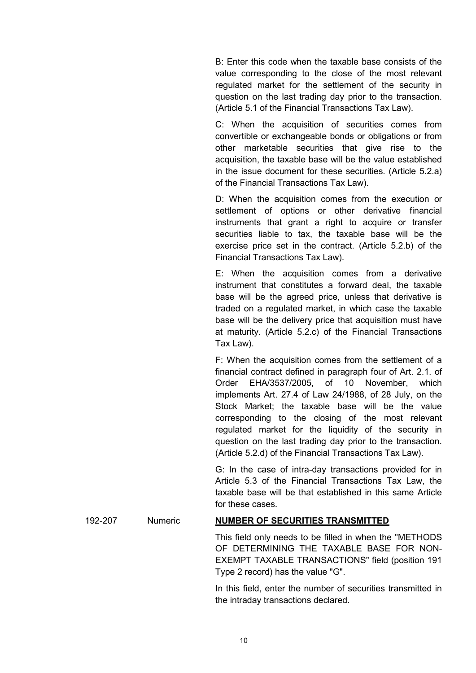B: Enter this code when the taxable base consists of the value corresponding to the close of the most relevant regulated market for the settlement of the security in question on the last trading day prior to the transaction. (Article 5.1 of the Financial Transactions Tax Law).

C: When the acquisition of securities comes from convertible or exchangeable bonds or obligations or from other marketable securities that give rise to the acquisition, the taxable base will be the value established in the issue document for these securities. (Article 5.2.a) of the Financial Transactions Tax Law).

D: When the acquisition comes from the execution or settlement of options or other derivative financial instruments that grant a right to acquire or transfer securities liable to tax, the taxable base will be the exercise price set in the contract. (Article 5.2.b) of the Financial Transactions Tax Law).

E: When the acquisition comes from a derivative instrument that constitutes a forward deal, the taxable base will be the agreed price, unless that derivative is traded on a regulated market, in which case the taxable base will be the delivery price that acquisition must have at maturity. (Article 5.2.c) of the Financial Transactions Tax Law).

F: When the acquisition comes from the settlement of a financial contract defined in paragraph four of Art. 2.1. of Order EHA/3537/2005, of 10 November, which implements Art. 27.4 of Law 24/1988, of 28 July, on the Stock Market; the taxable base will be the value corresponding to the closing of the most relevant regulated market for the liquidity of the security in question on the last trading day prior to the transaction. (Article 5.2.d) of the Financial Transactions Tax Law).

G: In the case of intra-day transactions provided for in Article 5.3 of the Financial Transactions Tax Law, the taxable base will be that established in this same Article for these cases.

### 192-207 Numeric **NUMBER OF SECURITIES TRANSMITTED**

This field only needs to be filled in when the "METHODS OF DETERMINING THE TAXABLE BASE FOR NON-EXEMPT TAXABLE TRANSACTIONS" field (position 191 Type 2 record) has the value "G".

In this field, enter the number of securities transmitted in the intraday transactions declared.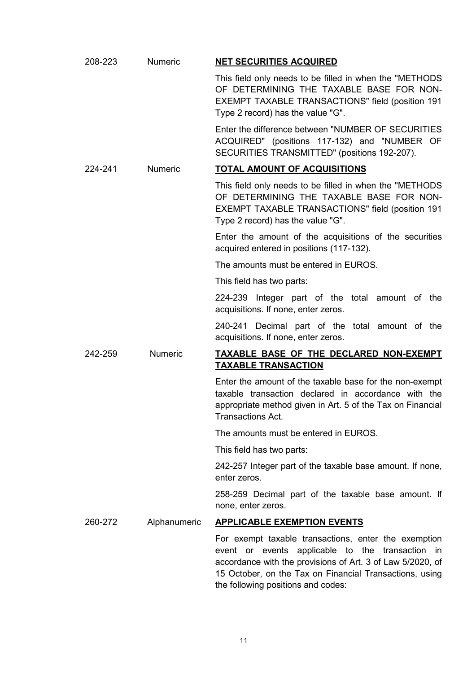| 208-223 | <b>Numeric</b> | <b>NET SECURITIES ACQUIRED</b>                                                                                                                                                                                                                                          |
|---------|----------------|-------------------------------------------------------------------------------------------------------------------------------------------------------------------------------------------------------------------------------------------------------------------------|
|         |                | This field only needs to be filled in when the "METHODS"<br>OF DETERMINING THE TAXABLE BASE FOR NON-<br><b>EXEMPT TAXABLE TRANSACTIONS" field (position 191</b><br>Type 2 record) has the value "G".                                                                    |
|         |                | Enter the difference between "NUMBER OF SECURITIES<br>ACQUIRED" (positions 117-132) and "NUMBER OF<br>SECURITIES TRANSMITTED" (positions 192-207).                                                                                                                      |
| 224-241 | <b>Numeric</b> | <b>TOTAL AMOUNT OF ACQUISITIONS</b>                                                                                                                                                                                                                                     |
|         |                | This field only needs to be filled in when the "METHODS<br>OF DETERMINING THE TAXABLE BASE FOR NON-<br>EXEMPT TAXABLE TRANSACTIONS" field (position 191<br>Type 2 record) has the value "G".                                                                            |
|         |                | Enter the amount of the acquisitions of the securities<br>acquired entered in positions (117-132).                                                                                                                                                                      |
|         |                | The amounts must be entered in EUROS.                                                                                                                                                                                                                                   |
|         |                | This field has two parts:                                                                                                                                                                                                                                               |
|         |                | 224-239 Integer part of the total amount of the<br>acquisitions. If none, enter zeros.                                                                                                                                                                                  |
|         |                | 240-241 Decimal part of the total amount of the<br>acquisitions. If none, enter zeros.                                                                                                                                                                                  |
| 242-259 | Numeric        | TAXABLE BASE OF THE DECLARED NON-EXEMPT<br><b>TAXABLE TRANSACTION</b>                                                                                                                                                                                                   |
|         |                | Enter the amount of the taxable base for the non-exempt<br>taxable transaction declared in accordance with the<br>appropriate method given in Art. 5 of the Tax on Financial<br>Transactions Act.                                                                       |
|         |                |                                                                                                                                                                                                                                                                         |
|         |                | The amounts must be entered in EUROS.                                                                                                                                                                                                                                   |
|         |                | This field has two parts:                                                                                                                                                                                                                                               |
|         |                | 242-257 Integer part of the taxable base amount. If none,<br>enter zeros.                                                                                                                                                                                               |
|         |                | 258-259 Decimal part of the taxable base amount. If<br>none, enter zeros.                                                                                                                                                                                               |
| 260-272 | Alphanumeric   | <b>APPLICABLE EXEMPTION EVENTS</b>                                                                                                                                                                                                                                      |
|         |                | For exempt taxable transactions, enter the exemption<br>event or events applicable to the transaction in<br>accordance with the provisions of Art. 3 of Law 5/2020, of<br>15 October, on the Tax on Financial Transactions, using<br>the following positions and codes: |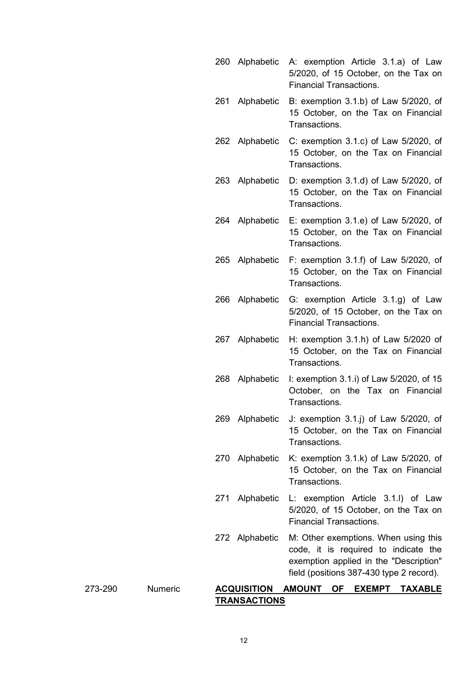260 Alphabetic A: exemption Article 3.1.a) of Law 5/2020, of 15 October, on the Tax on Financial Transactions. 261 Alphabetic B: exemption 3.1.b) of Law 5/2020, of 15 October, on the Tax on Financial Transactions. 262 Alphabetic C: exemption 3.1.c) of Law 5/2020, of 15 October, on the Tax on Financial **Transactions** 263 Alphabetic D: exemption 3.1.d) of Law 5/2020, of 15 October, on the Tax on Financial Transactions. 264 Alphabetic E: exemption 3.1.e) of Law 5/2020, of 15 October, on the Tax on Financial Transactions. 265 Alphabetic F: exemption 3.1.f) of Law 5/2020, of 15 October, on the Tax on Financial Transactions. 266 Alphabetic G: exemption Article 3.1.g) of Law 5/2020, of 15 October, on the Tax on Financial Transactions. 267 Alphabetic H: exemption 3.1.h) of Law 5/2020 of 15 October, on the Tax on Financial Transactions. 268 Alphabetic I: exemption 3.1.i) of Law 5/2020, of 15 October, on the Tax on Financial Transactions. 269 Alphabetic J: exemption 3.1.j) of Law 5/2020, of 15 October, on the Tax on Financial Transactions. 270 Alphabetic K: exemption 3.1.k) of Law 5/2020, of 15 October, on the Tax on Financial Transactions. 271 Alphabetic L: exemption Article 3.1.l) of Law 5/2020, of 15 October, on the Tax on Financial Transactions. 272 Alphabetic M: Other exemptions. When using this code, it is required to indicate the exemption applied in the "Description" field (positions 387-430 type 2 record).

## 273-290 Numeric **ACQUISITION AMOUNT OF EXEMPT TAXABLE TRANSACTIONS**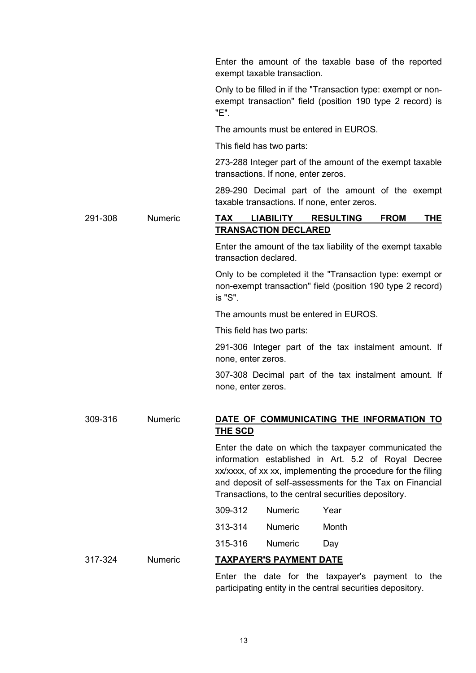|         |         | Enter the amount of the taxable base of the reported<br>exempt taxable transaction.                                                                                                                                                                                                             |
|---------|---------|-------------------------------------------------------------------------------------------------------------------------------------------------------------------------------------------------------------------------------------------------------------------------------------------------|
|         |         | Only to be filled in if the "Transaction type: exempt or non-<br>exempt transaction" field (position 190 type 2 record) is<br>"E".                                                                                                                                                              |
|         |         | The amounts must be entered in EUROS.                                                                                                                                                                                                                                                           |
|         |         | This field has two parts:                                                                                                                                                                                                                                                                       |
|         |         | 273-288 Integer part of the amount of the exempt taxable<br>transactions. If none, enter zeros.                                                                                                                                                                                                 |
|         |         | 289-290 Decimal part of the amount of the exempt<br>taxable transactions. If none, enter zeros.                                                                                                                                                                                                 |
| 291-308 | Numeric | <b>TAX</b><br><b>LIABILITY</b><br><b>RESULTING</b><br><b>FROM</b><br>THE<br><b>TRANSACTION DECLARED</b>                                                                                                                                                                                         |
|         |         | Enter the amount of the tax liability of the exempt taxable<br>transaction declared.                                                                                                                                                                                                            |
|         |         | Only to be completed it the "Transaction type: exempt or<br>non-exempt transaction" field (position 190 type 2 record)<br>is "S".                                                                                                                                                               |
|         |         | The amounts must be entered in EUROS.                                                                                                                                                                                                                                                           |
|         |         | This field has two parts:                                                                                                                                                                                                                                                                       |
|         |         | 291-306 Integer part of the tax instalment amount. If<br>none, enter zeros.                                                                                                                                                                                                                     |
|         |         | 307-308 Decimal part of the tax instalment amount. If<br>none, enter zeros.                                                                                                                                                                                                                     |
| 309-316 | Numeric | DATE OF COMMUNICATING THE INFORMATION TO<br><u>THE SCD</u>                                                                                                                                                                                                                                      |
|         |         | Enter the date on which the taxpayer communicated the<br>information established in Art. 5.2 of Royal Decree<br>xx/xxxx, of xx xx, implementing the procedure for the filing<br>and deposit of self-assessments for the Tax on Financial<br>Transactions, to the central securities depository. |
|         |         | <b>Numeric</b><br>Year<br>309-312                                                                                                                                                                                                                                                               |
|         |         | 313-314<br><b>Numeric</b><br>Month                                                                                                                                                                                                                                                              |
|         |         | 315-316<br><b>Numeric</b><br>Day                                                                                                                                                                                                                                                                |
| 317-324 | Numeric | <u>TAXPAYER'S PAYMENT DATE</u>                                                                                                                                                                                                                                                                  |
|         |         | Enter the date for the taxpayer's payment to the<br>participating entity in the central securities depository.                                                                                                                                                                                  |

13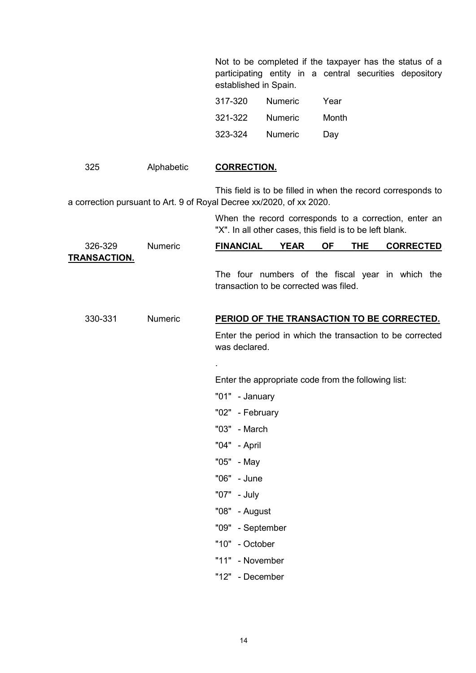Not to be completed if the taxpayer has the status of a participating entity in a central securities depository established in Spain.

| 317-320 | <b>Numeric</b> | Year  |
|---------|----------------|-------|
| 321-322 | Numeric        | Month |
| 323-324 | <b>Numeric</b> | Day   |

| 325                            | Alphabetic | <b>CORRECTION.</b>                                                                                                                   |
|--------------------------------|------------|--------------------------------------------------------------------------------------------------------------------------------------|
|                                |            | This field is to be filled in when the record corresponds to<br>a correction pursuant to Art. 9 of Royal Decree xx/2020, of xx 2020. |
|                                |            | When the record corresponds to a correction, enter an<br>"X". In all other cases, this field is to be left blank.                    |
| 326-329<br><u>TRANSACTION.</u> | Numeric    | <b>FINANCIAL</b><br><b>YEAR</b><br><b>OF</b><br><b>THE</b><br><b>CORRECTED</b>                                                       |
|                                |            | The four numbers of the fiscal year in which the<br>transaction to be corrected was filed.                                           |
| 330-331                        | Numeric    | PERIOD OF THE TRANSACTION TO BE CORRECTED.                                                                                           |
|                                |            | Enter the period in which the transaction to be corrected<br>was declared.                                                           |
|                                |            |                                                                                                                                      |
|                                |            | Enter the appropriate code from the following list:                                                                                  |
|                                |            | "01" - January                                                                                                                       |
|                                |            | "02" - February                                                                                                                      |
|                                |            | "03" - March                                                                                                                         |
|                                |            | "04" - April                                                                                                                         |
|                                |            | "05" - May                                                                                                                           |
|                                |            | "06" - June                                                                                                                          |
|                                |            | "07" - July                                                                                                                          |
|                                |            | "08" - August                                                                                                                        |
|                                |            | "09" - September                                                                                                                     |
|                                |            | "10" - October                                                                                                                       |
|                                |            | "11" - November                                                                                                                      |
|                                |            | "12" - December                                                                                                                      |
|                                |            |                                                                                                                                      |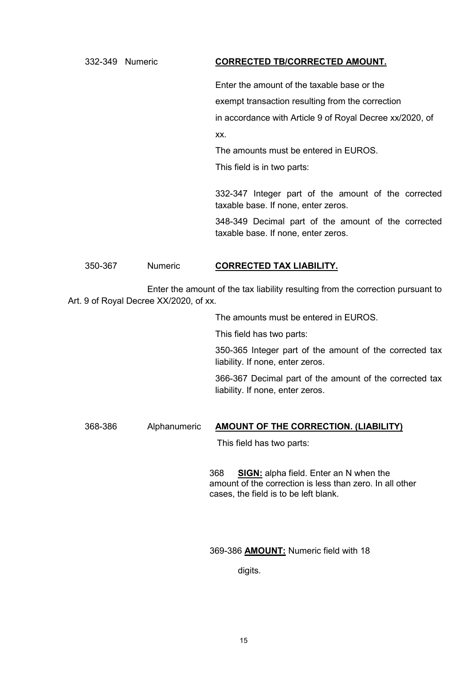# 332-349 Numeric **CORRECTED TB/CORRECTED AMOUNT.**

Enter the amount of the taxable base or the exempt transaction resulting from the correction in accordance with Article 9 of Royal Decree xx/2020, of xx.

The amounts must be entered in EUROS.

This field is in two parts:

332-347 Integer part of the amount of the corrected taxable base. If none, enter zeros.

348-349 Decimal part of the amount of the corrected taxable base. If none, enter zeros.

## 350-367 Numeric **CORRECTED TAX LIABILITY.**

Enter the amount of the tax liability resulting from the correction pursuant to Art. 9 of Royal Decree XX/2020, of xx.

The amounts must be entered in EUROS.

This field has two parts:

350-365 Integer part of the amount of the corrected tax liability. If none, enter zeros.

366-367 Decimal part of the amount of the corrected tax liability. If none, enter zeros.

## 368-386 Alphanumeric **AMOUNT OF THE CORRECTION. (LIABILITY)**

This field has two parts:

368 **SIGN:** alpha field. Enter an N when the amount of the correction is less than zero. In all other cases, the field is to be left blank.

### 369-386 **AMOUNT:** Numeric field with 18

digits.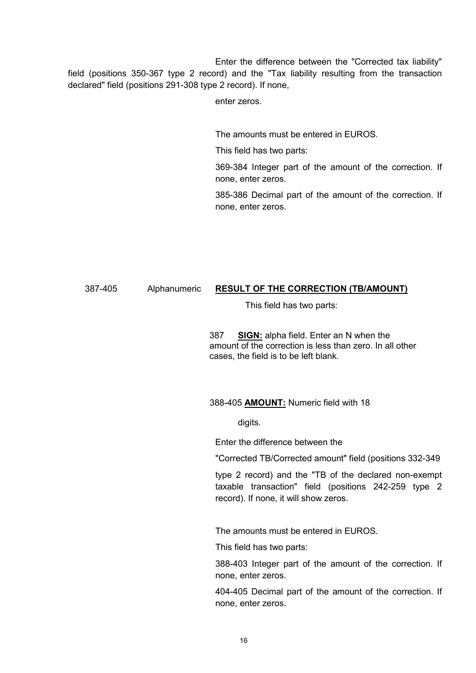Enter the difference between the "Corrected tax liability" field (positions 350-367 type 2 record) and the "Tax liability resulting from the transaction declared" field (positions 291-308 type 2 record). If none,

enter zeros.

The amounts must be entered in EUROS.

This field has two parts:

369-384 Integer part of the amount of the correction. If none, enter zeros.

385-386 Decimal part of the amount of the correction. If none, enter zeros.

# 387-405 Alphanumeric **RESULT OF THE CORRECTION (TB/AMOUNT)**

This field has two parts:

387 **SIGN:** alpha field. Enter an N when the amount of the correction is less than zero. In all other cases, the field is to be left blank.

## 388-405 **AMOUNT:** Numeric field with 18

digits.

Enter the difference between the

"Corrected TB/Corrected amount" field (positions 332-349

type 2 record) and the "TB of the declared non-exempt taxable transaction" field (positions 242-259 type 2 record). If none, it will show zeros.

The amounts must be entered in EUROS.

This field has two parts:

388-403 Integer part of the amount of the correction. If none, enter zeros.

404-405 Decimal part of the amount of the correction. If none, enter zeros.